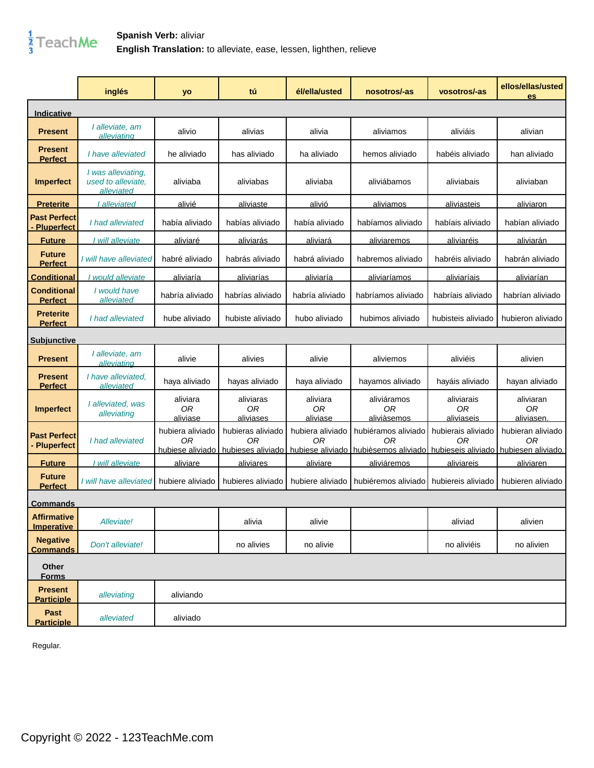

|                                          | inglés                                                 | yo                                         | tú                                  | él/ella/usted                     | nosotros/-as                                                                                           | vosotros/-as                               | ellos/ellas/usted<br>es                       |
|------------------------------------------|--------------------------------------------------------|--------------------------------------------|-------------------------------------|-----------------------------------|--------------------------------------------------------------------------------------------------------|--------------------------------------------|-----------------------------------------------|
| Indicative                               |                                                        |                                            |                                     |                                   |                                                                                                        |                                            |                                               |
| <b>Present</b>                           | I alleviate, am<br>alleviating                         | alivio                                     | alivias                             | alivia                            | aliviamos                                                                                              | aliviáis                                   | alivian                                       |
| <b>Present</b><br><b>Perfect</b>         | I have alleviated                                      | he aliviado                                | has aliviado                        | ha aliviado                       | hemos aliviado                                                                                         | habéis aliviado                            | han aliviado                                  |
| <b>Imperfect</b>                         | I was alleviating,<br>used to alleviate.<br>alleviated | aliviaba                                   | aliviabas                           | aliviaba                          | aliviábamos                                                                                            | aliviabais                                 | aliviaban                                     |
| <b>Preterite</b>                         | alleviated                                             | alivié                                     | aliviaste                           | alivió                            | aliviamos                                                                                              | aliviasteis                                | aliviaron                                     |
| <b>Past Perfect</b><br><b>Pluperfect</b> | I had alleviated                                       | había aliviado                             | habías aliviado                     | había aliviado                    | habíamos aliviado                                                                                      | habíais aliviado                           | habían aliviado                               |
| <b>Future</b>                            | I will alleviate                                       | aliviaré                                   | aliviarás                           | aliviará                          | aliviaremos                                                                                            | aliviaréis                                 | aliviarán                                     |
| <b>Future</b><br><b>Perfect</b>          | I will have alleviated                                 | habré aliviado                             | habrás aliviado                     | habrá aliviado                    | habremos aliviado                                                                                      | habréis aliviado                           | habrán aliviado                               |
| <b>Conditional</b>                       | I would alleviate                                      | aliviaría                                  | aliviarías                          | aliviaría                         | aliviaríamos                                                                                           | aliviaríais                                | aliviarían                                    |
| <b>Conditional</b><br><b>Perfect</b>     | I would have<br>alleviated                             | habría aliviado                            | habrías aliviado                    | habría aliviado                   | habríamos aliviado                                                                                     | habríais aliviado                          | habrían aliviado                              |
| <b>Preterite</b><br><b>Perfect</b>       | I had alleviated                                       | hube aliviado                              | hubiste aliviado                    | hubo aliviado                     | hubimos aliviado                                                                                       | hubisteis aliviado                         | hubieron aliviado                             |
| <u>Subiunctive</u>                       |                                                        |                                            |                                     |                                   |                                                                                                        |                                            |                                               |
| <b>Present</b>                           | I alleviate, am<br>alleviating                         | alivie                                     | alivies                             | alivie                            | aliviemos                                                                                              | aliviéis                                   | alivien                                       |
| <b>Present</b><br><b>Perfect</b>         | I have alleviated.<br>alleviated                       | haya aliviado                              | hayas aliviado                      | haya aliviado                     | hayamos aliviado                                                                                       | hayáis aliviado                            | hayan aliviado                                |
| <b>Imperfect</b>                         | I alleviated, was<br>alleviating                       | aliviara<br>0 <sub>R</sub><br>aliviase     | aliviaras<br><b>OR</b><br>aliviases | aliviara<br><b>OR</b><br>aliviase | aliviáramos<br>0 <sub>R</sub><br>aliviàsemos                                                           | aliviarais<br>0 <sub>R</sub><br>aliviaseis | aliviaran<br>0 <sub>R</sub><br>aliviasen.     |
| <b>Past Perfect</b><br><b>Pluperfect</b> | I had alleviated                                       | hubiera aliviado<br>0R<br>hubiese aliviado | hubieras aliviado<br>ΟR             | hubiera aliviado<br>0R            | hubiéramos aliviado<br>ΟR<br>hubieses aliviado hubiese aliviado hubièsemos aliviado hubieseis aliviado | hubierais aliviado<br>ΟR                   | hubieran aliviado<br>ΟR<br>hubiesen aliviado. |
| <b>Future</b>                            | I will alleviate                                       | <u>aliviare</u>                            | <u>aliviares</u>                    | <u>aliviare</u>                   | aliviáremos                                                                                            | aliviareis                                 | aliviaren                                     |
| <b>Future</b><br><b>Perfect</b>          | I will have alleviated                                 | hubiere aliviado                           | hubieres aliviado                   | hubiere aliviado                  | hubiéremos aliviado                                                                                    | hubiereis aliviado                         | hubieren aliviado                             |
| <b>Commands</b>                          |                                                        |                                            |                                     |                                   |                                                                                                        |                                            |                                               |
| <b>Affirmative</b><br>Imperative         | Alleviate!                                             |                                            | alivia                              | alivie                            |                                                                                                        | aliviad                                    | alivien                                       |
| <b>Negative</b><br><b>Commands</b>       | Don't alleviate!                                       |                                            | no alivies                          | no alivie                         |                                                                                                        | no aliviéis                                | no alivien                                    |
| Other<br><b>Forms</b>                    |                                                        |                                            |                                     |                                   |                                                                                                        |                                            |                                               |
| <b>Present</b><br><b>Participle</b>      | alleviating                                            | aliviando                                  |                                     |                                   |                                                                                                        |                                            |                                               |
| Past<br><b>Participle</b>                | alleviated                                             | aliviado                                   |                                     |                                   |                                                                                                        |                                            |                                               |

Regular.